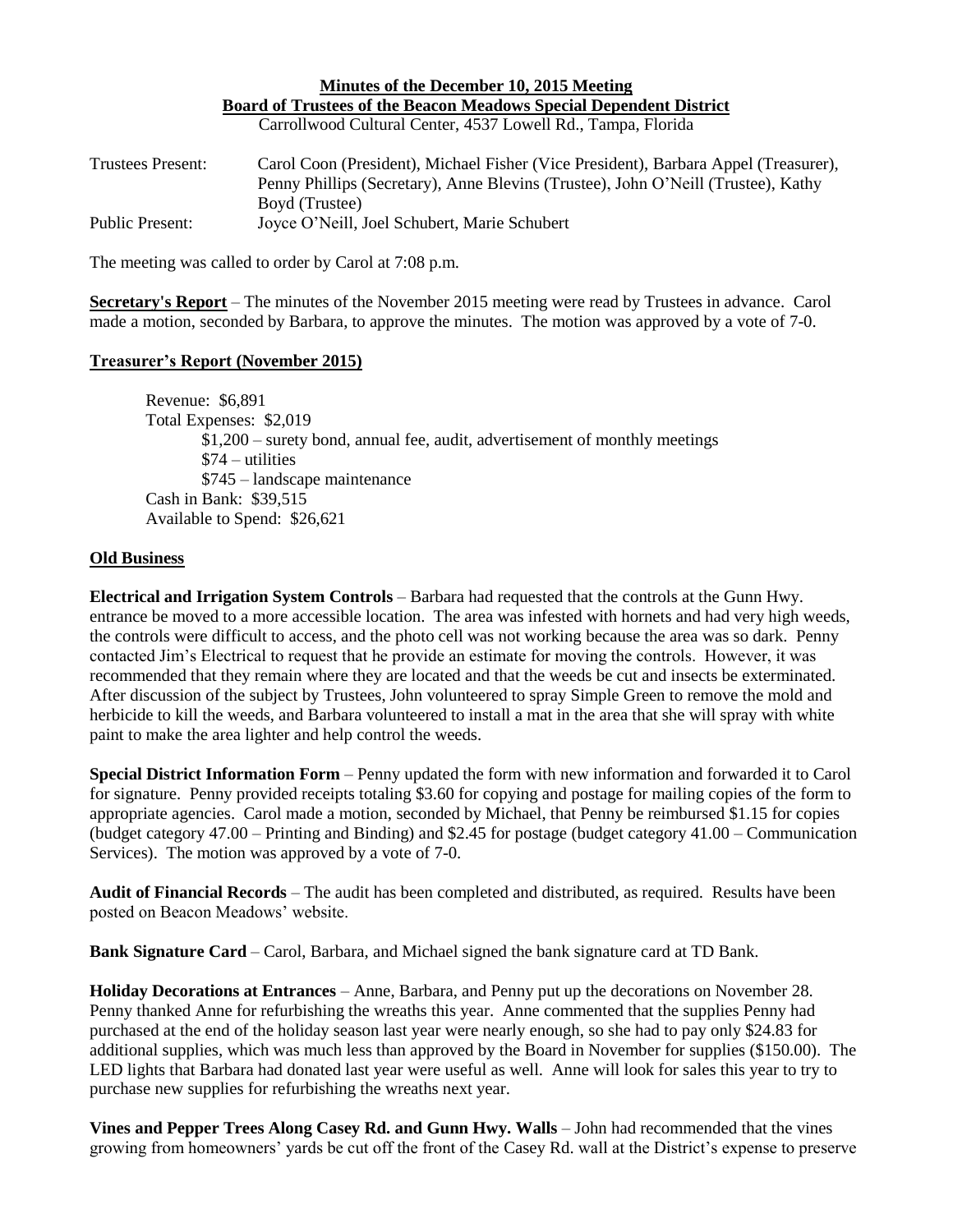| Minutes of the December 10, 2015 Meeting                                  |
|---------------------------------------------------------------------------|
| <b>Board of Trustees of the Beacon Meadows Special Dependent District</b> |
| Carrollwood Cultural Center, 4537 Lowell Rd., Tampa, Florida              |

| <b>Trustees Present:</b> | Carol Coon (President), Michael Fisher (Vice President), Barbara Appel (Treasurer), |
|--------------------------|-------------------------------------------------------------------------------------|
|                          | Penny Phillips (Secretary), Anne Blevins (Trustee), John O'Neill (Trustee), Kathy   |
|                          | Bovd (Trustee)                                                                      |
| <b>Public Present:</b>   | Joyce O'Neill, Joel Schubert, Marie Schubert                                        |

The meeting was called to order by Carol at 7:08 p.m.

**Secretary's Report** – The minutes of the November 2015 meeting were read by Trustees in advance. Carol made a motion, seconded by Barbara, to approve the minutes. The motion was approved by a vote of 7-0.

## **Treasurer's Report (November 2015)**

Revenue: \$6,891 Total Expenses: \$2,019 \$1,200 – surety bond, annual fee, audit, advertisement of monthly meetings \$74 – utilities \$745 – landscape maintenance Cash in Bank: \$39,515 Available to Spend: \$26,621

## **Old Business**

**Electrical and Irrigation System Controls** – Barbara had requested that the controls at the Gunn Hwy. entrance be moved to a more accessible location. The area was infested with hornets and had very high weeds, the controls were difficult to access, and the photo cell was not working because the area was so dark. Penny contacted Jim's Electrical to request that he provide an estimate for moving the controls. However, it was recommended that they remain where they are located and that the weeds be cut and insects be exterminated. After discussion of the subject by Trustees, John volunteered to spray Simple Green to remove the mold and herbicide to kill the weeds, and Barbara volunteered to install a mat in the area that she will spray with white paint to make the area lighter and help control the weeds.

**Special District Information Form** – Penny updated the form with new information and forwarded it to Carol for signature. Penny provided receipts totaling \$3.60 for copying and postage for mailing copies of the form to appropriate agencies. Carol made a motion, seconded by Michael, that Penny be reimbursed \$1.15 for copies (budget category 47.00 – Printing and Binding) and \$2.45 for postage (budget category 41.00 – Communication Services). The motion was approved by a vote of 7-0.

**Audit of Financial Records** – The audit has been completed and distributed, as required. Results have been posted on Beacon Meadows' website.

**Bank Signature Card** – Carol, Barbara, and Michael signed the bank signature card at TD Bank.

**Holiday Decorations at Entrances** – Anne, Barbara, and Penny put up the decorations on November 28. Penny thanked Anne for refurbishing the wreaths this year. Anne commented that the supplies Penny had purchased at the end of the holiday season last year were nearly enough, so she had to pay only \$24.83 for additional supplies, which was much less than approved by the Board in November for supplies (\$150.00). The LED lights that Barbara had donated last year were useful as well. Anne will look for sales this year to try to purchase new supplies for refurbishing the wreaths next year.

**Vines and Pepper Trees Along Casey Rd. and Gunn Hwy. Walls** – John had recommended that the vines growing from homeowners' yards be cut off the front of the Casey Rd. wall at the District's expense to preserve